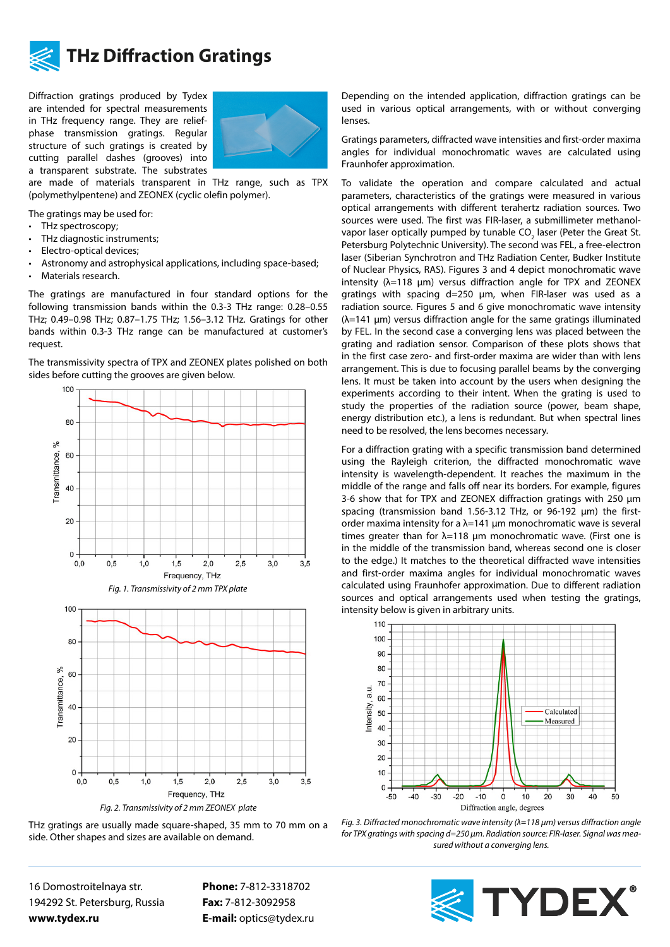

## **THz Diffraction Gratings**

Diffraction gratings produced by Tydex are intended for spectral measurements in THz frequency range. They are reliefphase transmission gratings. Regular structure of such gratings is created by cutting parallel dashes (grooves) into a transparent substrate. The substrates



are made of materials transparent in THz range, such as TPX (polymethylpentene) and ZEONEX (cyclic olefin polymer).

The gratings may be used for:

- THz spectroscopy;
- THz diagnostic instruments;
- Electro-optical devices;
- Astronomy and astrophysical applications, including space-based;
- Materials research.

The gratings are manufactured in four standard options for the following transmission bands within the 0.3-3 THz range: 0.28–0.55 THz; 0.49–0.98 THz; 0.87–1.75 THz; 1.56–3.12 THz. Gratings for other bands within 0.3-3 THz range can be manufactured at customer's request.

The transmissivity spectra of TPX and ZEONEX plates polished on both sides before cutting the grooves are given below.



THz gratings are usually made square-shaped, 35 mm to 70 mm on a side. Other shapes and sizes are available on demand.

Depending on the intended application, diffraction gratings can be used in various optical arrangements, with or without converging lenses.

Gratings parameters, diffracted wave intensities and first-order maxima angles for individual monochromatic waves are calculated using Fraunhofer approximation.

To validate the operation and compare calculated and actual parameters, characteristics of the gratings were measured in various optical arrangements with different terahertz radiation sources. Two sources were used. The first was FIR-laser, a submillimeter methanolvapor laser optically pumped by tunable  $\mathsf{CO}_2$  laser (Peter the Great St. Petersburg Polytechnic University). The second was FEL, a free-electron laser (Siberian Synchrotron and THz Radiation Center, Budker Institute of Nuclear Physics, RAS). Figures 3 and 4 depict monochromatic wave intensity ( $\lambda$ =118 µm) versus diffraction angle for TPX and ZEONEX gratings with spacing d=250 μm, when FIR-laser was used as a radiation source. Figures 5 and 6 give monochromatic wave intensity (λ=141 μm) versus diffraction angle for the same gratings illuminated by FEL. In the second case a converging lens was placed between the grating and radiation sensor. Comparison of these plots shows that in the first case zero- and first-order maxima are wider than with lens arrangement. This is due to focusing parallel beams by the converging lens. It must be taken into account by the users when designing the experiments according to their intent. When the grating is used to study the properties of the radiation source (power, beam shape, energy distribution etc.), a lens is redundant. But when spectral lines need to be resolved, the lens becomes necessary.

For a diffraction grating with a specific transmission band determined using the Rayleigh criterion, the diffracted monochromatic wave intensity is wavelength-dependent. It reaches the maximum in the middle of the range and falls off near its borders. For example, figures 3-6 show that for TPX and ZEONEX diffraction gratings with 250 μm spacing (transmission band 1.56-3.12 THz, or 96-192 μm) the firstorder maxima intensity for a  $\lambda$ =141 µm monochromatic wave is several times greater than for  $λ=118$  μm monochromatic wave. (First one is in the middle of the transmission band, whereas second one is closer to the edge.) It matches to the theoretical diffracted wave intensities and first-order maxima angles for individual monochromatic waves calculated using Fraunhofer approximation. Due to different radiation sources and optical arrangements used when testing the gratings, intensity below is given in arbitrary units.



*Fig. 3. Diffracted monochromatic wave intensity (λ=118 μm) versus diffraction angle for TPX gratings with spacing d=250 μm. Radiation source: FIR-laser. Signal was measured without a converging lens.*

16 Domostroitelnaya str. 194292 St. Petersburg, Russia **www.tydex.ru** 

**Phone:** 7-812-3318702 **Fax:** 7-812-3092958 **E-mail:** optics@tydex.ru